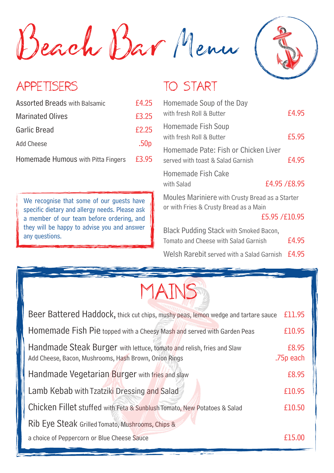Beach Bar Menu



## APPETISERS

| <b>Assorted Breads with Balsamic</b> | £4.25            |
|--------------------------------------|------------------|
| <b>Marinated Olives</b>              | £3.25            |
| Garlic Bread                         | £2.25            |
| <b>Add Cheese</b>                    | .50 <sub>p</sub> |
| Homemade Humous with Pitta Fingers   | £3.95            |

We recognise that some of our quests have specific dietary and allergy needs. Please ask a member of our team before ordering, and they will be happy to advise you and answer any questions.

## TO START

| Homemade Soup of the Day<br>with fresh Roll & Butter                                                      | £4.95        |
|-----------------------------------------------------------------------------------------------------------|--------------|
| Homemade Fish Soup<br>with fresh Roll & Butter                                                            | £5.95        |
| Homemade Pate: Fish or Chicken Liver<br>served with toast & Salad Garnish                                 | £4.95        |
| Homemade Fish Cake<br>with Salad                                                                          | £4.95 /£8.95 |
| Moules Mariniere with Crusty Bread as a Starter<br>or with Fries & Crusty Bread as a Main<br>£5.95/£10.95 |              |
| <b>Black Pudding Stack with Smoked Bacon,</b>                                                             |              |
| Tomato and Cheese with Salad Garnish                                                                      | £4.95        |
| Welsh Rarebit served with a Salad Garnish                                                                 | £4.95        |



| Beer Battered Haddock, thick cut chips, mushy peas, lemon wedge and tartare sauce                                                           | £11.95 |
|---------------------------------------------------------------------------------------------------------------------------------------------|--------|
| Homemade Fish Pie topped with a Cheesy Mash and served with Garden Peas                                                                     | £10.95 |
| Handmade Steak Burger with lettuce, tomato and relish, fries and Slaw<br>.75p each<br>Add Cheese, Bacon, Mushrooms, Hash Brown, Onion Rings |        |
| Handmade Vegetarian Burger with fries and slaw                                                                                              |        |
| Lamb Kebab with Tzatziki Dressing and Salad                                                                                                 | £10.95 |
| Chicken Fillet stuffed with Feta & Sunblush Tomato, New Potatoes & Salad                                                                    |        |
| Rib Eye Steak Grilled Tomato, Mushrooms, Chips &                                                                                            |        |
| a choice of Peppercorn or Blue Cheese Sauce                                                                                                 | £15.00 |